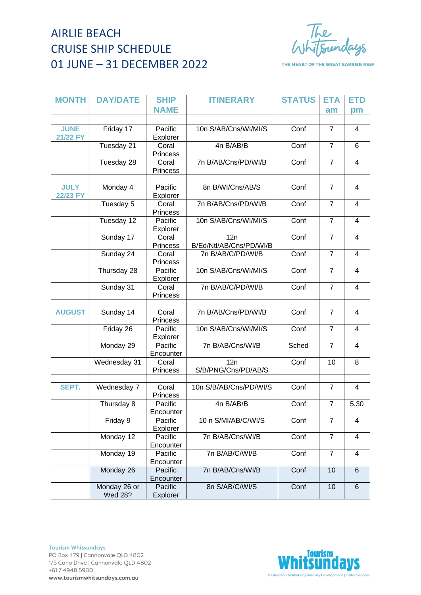$\overline{\mathbf{c}}$ re<br>Foundays

THE HEART OF THE GREAT BARRIER REEF

| <b>MONTH</b>  | <b>DAY/DATE</b> | <b>SHIP</b>              | <b>ITINERARY</b>        | <b>STATUS</b> | <b>ETA</b>     | <b>ETD</b>     |
|---------------|-----------------|--------------------------|-------------------------|---------------|----------------|----------------|
|               |                 | <b>NAME</b>              |                         |               | am             | pm             |
|               |                 |                          |                         |               |                |                |
| <b>JUNE</b>   | Friday 17       | Pacific                  | 10n S/AB/Cns/WI/MI/S    | Conf          | $\overline{7}$ | $\overline{4}$ |
| 21/22 FY      |                 | Explorer                 |                         |               |                |                |
|               | Tuesday 21      | Coral                    | 4n B/AB/B               | Conf          | $\overline{7}$ | 6              |
|               |                 | <b>Princess</b>          |                         |               |                |                |
|               | Tuesday 28      | Coral                    | 7n B/AB/Cns/PD/WI/B     | Conf          | $\overline{7}$ | 4              |
|               |                 | <b>Princess</b>          |                         |               |                |                |
|               |                 |                          |                         |               |                |                |
| <b>JULY</b>   | Monday 4        | Pacific                  | 8n B/WI/Cns/AB/S        | Conf          | $\overline{7}$ | 4              |
| 22/23 FY      |                 | Explorer                 |                         |               |                |                |
|               | Tuesday 5       | Coral<br><b>Princess</b> | 7n B/AB/Cns/PD/WI/B     | Conf          | $\overline{7}$ | 4              |
|               | Tuesday 12      | Pacific                  | 10n S/AB/Cns/WI/MI/S    | Conf          | $\overline{7}$ | $\overline{4}$ |
|               |                 | Explorer                 |                         |               |                |                |
|               | Sunday 17       | Coral                    | 12n                     | Conf          | $\overline{7}$ | 4              |
|               |                 | <b>Princess</b>          | B/Ed/Ntl/AB/Cns/PD/WI/B |               |                |                |
|               | Sunday 24       | Coral                    | 7n B/AB/C/PD/WI/B       | Conf          | $\overline{7}$ | $\overline{4}$ |
|               |                 | Princess                 |                         |               |                |                |
|               | Thursday 28     | Pacific                  | 10n S/AB/Cns/WI/MI/S    | Conf          | $\overline{7}$ | $\overline{4}$ |
|               |                 | Explorer                 |                         |               |                |                |
|               | Sunday 31       | Coral                    | 7n B/AB/C/PD/WI/B       | Conf          | $\overline{7}$ | $\overline{4}$ |
|               |                 | Princess                 |                         |               |                |                |
| <b>AUGUST</b> |                 |                          | 7n B/AB/Cns/PD/WI/B     | Conf          | $\overline{7}$ |                |
|               | Sunday 14       | Coral<br><b>Princess</b> |                         |               |                | $\overline{4}$ |
|               | Friday 26       | Pacific                  | 10n S/AB/Cns/WI/MI/S    | Conf          | $\overline{7}$ | $\overline{4}$ |
|               |                 | Explorer                 |                         |               |                |                |
|               | Monday 29       | Pacific                  | 7n B/AB/Cns/WI/B        | Sched         | $\overline{7}$ | $\overline{4}$ |
|               |                 | Encounter                |                         |               |                |                |
|               | Wednesday 31    | Coral                    | 12n                     | Conf          | 10             | 8              |
|               |                 | Princess                 | S/B/PNG/Cns/PD/AB/S     |               |                |                |
|               |                 |                          |                         |               |                |                |
| SEPT.         | Wednesday 7     | Coral                    | 10n S/B/AB/Cns/PD/WI/S  | Conf          | $\overline{7}$ | $\overline{4}$ |
|               |                 | <b>Princess</b>          |                         |               |                |                |
|               | Thursday 8      | Pacific                  | 4n B/AB/B               | Conf          | $\overline{7}$ | 5.30           |
|               | Friday 9        | Encounter<br>Pacific     | 10 n S/MI/AB/C/WI/S     | Conf          | $\overline{7}$ | 4              |
|               |                 | Explorer                 |                         |               |                |                |
|               | Monday 12       | Pacific                  | 7n B/AB/Cns/WI/B        | Conf          | $\overline{7}$ | 4              |
|               |                 | Encounter                |                         |               |                |                |
|               | Monday 19       | Pacific                  | 7n B/AB/C/WI/B          | Conf          | $\overline{7}$ | 4              |
|               |                 | Encounter                |                         |               |                |                |
|               | Monday 26       | Pacific                  | 7n B/AB/Cns/WI/B        | Conf          | 10             | $\,6$          |
|               |                 | Encounter                |                         |               |                |                |
|               | Monday 26 or    | Pacific                  | 8n S/AB/C/WI/S          | Conf          | 10             | $\,6\,$        |
|               | <b>Wed 28?</b>  | Explorer                 |                         |               |                |                |

**Tourism Whitsundays** PO Box 479 | Cannonvale QLD 4802 1/5 Carlo Drive | Cannonvale QLD 4802 +61749485900 www.tourismwhitsundays.com.au

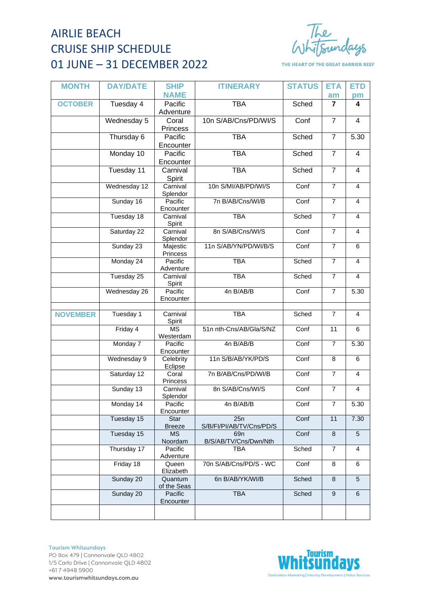$\overline{\mathbf{c}}$ re<br>Foundays

THE HEART OF THE GREAT BARRIER REEF

| <b>MONTH</b>    | <b>DAY/DATE</b> | <b>SHIP</b>            | <b>ITINERARY</b>                         | <b>STATUS</b> | <b>ETA</b>       | <b>ETD</b>              |
|-----------------|-----------------|------------------------|------------------------------------------|---------------|------------------|-------------------------|
|                 |                 | <b>NAME</b>            |                                          |               | am               | pm                      |
| <b>OCTOBER</b>  | Tuesday 4       | Pacific<br>Adventure   | <b>TBA</b>                               | Sched         | $\overline{7}$   | 4                       |
|                 | Wednesday 5     | Coral<br>Princess      | 10n S/AB/Cns/PD/WI/S                     | Conf          | $\overline{7}$   | $\overline{4}$          |
|                 | Thursday 6      | Pacific<br>Encounter   | <b>TBA</b>                               | Sched         | $\overline{7}$   | 5.30                    |
|                 | Monday 10       | Pacific<br>Encounter   | <b>TBA</b>                               | Sched         | $\overline{7}$   | 4                       |
|                 | Tuesday 11      | Carnival<br>Spirit     | <b>TBA</b>                               | Sched         | $\overline{7}$   | 4                       |
|                 | Wednesday 12    | Carnival<br>Splendor   | 10n S/MI/AB/PD/WI/S                      | Conf          | $\overline{7}$   | $\overline{4}$          |
|                 | Sunday 16       | Pacific<br>Encounter   | 7n B/AB/Cns/WI/B                         | Conf          | $\overline{7}$   | $\overline{4}$          |
|                 | Tuesday 18      | Carnival<br>Spirit     | <b>TBA</b>                               | Sched         | $\overline{7}$   | 4                       |
|                 | Saturday 22     | Carnival<br>Splendor   | 8n S/AB/Cns/WI/S                         | Conf          | $\overline{7}$   | $\overline{\mathbf{4}}$ |
|                 | Sunday 23       | Majestic<br>Princess   | 11n S/AB/YN/PD/WI/B/S                    | Conf          | $\overline{7}$   | 6                       |
|                 | Monday 24       | Pacific<br>Adventure   | <b>TBA</b>                               | Sched         | $\overline{7}$   | $\overline{4}$          |
|                 | Tuesday 25      | Carnival<br>Spirit     | <b>TBA</b>                               | Sched         | $\overline{7}$   | 4                       |
|                 | Wednesday 26    | Pacific<br>Encounter   | 4n B/AB/B                                | Conf          | $\overline{7}$   | 5.30                    |
| <b>NOVEMBER</b> | Tuesday 1       | Carnival<br>Spirit     | <b>TBA</b>                               | Sched         | $\overline{7}$   | 4                       |
|                 | Friday 4        | <b>MS</b><br>Westerdam | 51n nth-Cns/AB/Gla/S/NZ                  | Conf          | 11               | 6                       |
|                 | Monday 7        | Pacific<br>Encounter   | 4n B/AB/B                                | Conf          | $\overline{7}$   | 5.30                    |
|                 | Wednesday 9     | Celebrity<br>Eclipse   | 11n S/B/AB/YK/PD/S                       | Conf          | 8                | 6                       |
|                 | Saturday 12     | Coral<br>Princess      | 7n B/AB/Cns/PD/WI/B                      | Conf          | 7                | 4                       |
|                 | Sunday 13       | Carnival<br>Splendor   | 8n S/AB/Cns/WI/S                         | Conf          | $\overline{7}$   | 4                       |
|                 | Monday 14       | Pacific<br>Encounter   | 4n B/AB/B                                | Conf          | $\overline{7}$   | 5.30                    |
|                 | Tuesday 15      | Star<br><b>Breeze</b>  | 25n<br>S/B/FI/PI/AB/TV/Cns/PD/S          | Conf          | 11               | 7.30                    |
|                 | Tuesday 15      | <b>MS</b><br>Noordam   | 69 <sub>n</sub><br>B/S/AB/TV/Cns/Dwn/Nth | Conf          | $\,8\,$          | 5                       |
|                 | Thursday 17     | Pacific<br>Adventure   | TBA                                      | Sched         | $\overline{7}$   | 4                       |
|                 | Friday 18       | Queen<br>Elizabeth     | 70n S/AB/Cns/PD/S - WC                   | Conf          | 8                | 6                       |
|                 | Sunday 20       | Quantum<br>of the Seas | 6n B/AB/YK/WI/B                          | Sched         | 8                | 5                       |
|                 | Sunday 20       | Pacific<br>Encounter   | <b>TBA</b>                               | Sched         | $\boldsymbol{9}$ | 6                       |
|                 |                 |                        |                                          |               |                  |                         |

**Tourism Whitsundays** PO Box 479 | Cannonvale QLD 4802 1/5 Carlo Drive | Cannonvale QLD 4802 +61749485900 www.tourismwhitsundays.com.au

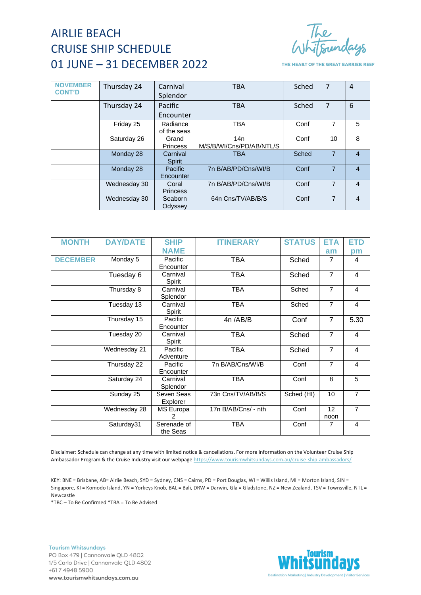Le<br>Tsundays

THE HEART OF THE GREAT BARRIER REEF

| <b>NOVEMBER</b><br><b>CONT'D</b> | Thursday 24  | Carnival<br>Splendor      | <b>TBA</b>                      | Sched        | 7              | 4              |
|----------------------------------|--------------|---------------------------|---------------------------------|--------------|----------------|----------------|
|                                  | Thursday 24  | Pacific<br>Encounter      | <b>TBA</b>                      | Sched        | 7              | 6              |
|                                  | Friday 25    | Radiance<br>of the seas   | <b>TBA</b>                      | Conf         | 7              | 5              |
|                                  | Saturday 26  | Grand<br><b>Princess</b>  | 14n<br>M/S/B/WI/Cns/PD/AB/NTL/S | Conf         | 10             | 8              |
|                                  | Monday 28    | Carnival<br><b>Spirit</b> | <b>TBA</b>                      | <b>Sched</b> | 7              | $\overline{4}$ |
|                                  | Monday 28    | Pacific<br>Encounter      | 7n B/AB/PD/Cns/WI/B             | Conf         | $\overline{7}$ | $\overline{4}$ |
|                                  | Wednesday 30 | Coral<br><b>Princess</b>  | 7n B/AB/PD/Cns/WI/B             | Conf         | 7              | $\overline{4}$ |
|                                  | Wednesday 30 | Seaborn<br>Odyssey        | 64n Cns/TV/AB/B/S               | Conf         | $\overline{7}$ | $\overline{4}$ |

| <b>MONTH</b>    | <b>DAY/DATE</b> | <b>SHIP</b>             | <b>ITINERARY</b>    | <b>STATUS</b> | <b>ETA</b>     | <b>ETD</b>     |
|-----------------|-----------------|-------------------------|---------------------|---------------|----------------|----------------|
|                 |                 | <b>NAME</b>             |                     |               | am             | pm             |
| <b>DECEMBER</b> | Monday 5        | Pacific<br>Encounter    | <b>TBA</b>          | Sched         | $\overline{7}$ | $\overline{4}$ |
|                 | Tuesday 6       | Carnival<br>Spirit      | <b>TBA</b>          | Sched         | $\overline{7}$ | $\overline{4}$ |
|                 | Thursday 8      | Carnival<br>Splendor    | <b>TBA</b>          | Sched         | $\overline{7}$ | $\overline{4}$ |
|                 | Tuesday 13      | Carnival<br>Spirit      | <b>TBA</b>          | Sched         | $\overline{7}$ | 4              |
|                 | Thursday 15     | Pacific<br>Encounter    | 4n/AB/B             | Conf          | $\overline{7}$ | 5.30           |
|                 | Tuesday 20      | Carnival<br>Spirit      | <b>TBA</b>          | Sched         | $\overline{7}$ | $\overline{4}$ |
|                 | Wednesday 21    | Pacific<br>Adventure    | <b>TBA</b>          | Sched         | $\overline{7}$ | 4              |
|                 | Thursday 22     | Pacific<br>Encounter    | 7n B/AB/Cns/WI/B    | Conf          | $\overline{7}$ | $\overline{4}$ |
|                 | Saturday 24     | Carnival<br>Splendor    | <b>TBA</b>          | Conf          | 8              | 5              |
|                 | Sunday 25       | Seven Seas<br>Explorer  | 73n Cns/TV/AB/B/S   | Sched (HI)    | 10             | $\overline{7}$ |
|                 | Wednesday 28    | MS Europa               | 17n B/AB/Cns/ - nth | Conf          | 12<br>noon     | $\overline{7}$ |
|                 | Saturday31      | Serenade of<br>the Seas | <b>TBA</b>          | Conf          | 7              | $\overline{4}$ |

Disclaimer: Schedule can change at any time with limited notice & cancellations. For more information on the Volunteer Cruise Ship Ambassador Program & the Cruise Industry visit our webpag[e https://www.tourismwhitsundays.com.au/cruise-ship-ambassadors/](https://www.tourismwhitsundays.com.au/cruise-ship-ambassadors/)

KEY: BNE = Brisbane, AB= Airlie Beach, SYD = Sydney, CNS = Cairns, PD = Port Douglas, WI = Willis Island, MI = Morton Island, SIN = Singapore, KI = Komodo Island, YN = Yorkeys Knob, BAL = Bali, DRW = Darwin, Gla = Gladstone, NZ = New Zealand, TSV = Townsville, NTL = Newcastle

\*TBC – To Be Confirmed \*TBA = To Be Advised

**Tourism Whitsundays** PO Box 479 | Cannonvale QLD 4802 1/5 Carlo Drive | Cannonvale QLD 4802 +617 4948 5900 www.tourismwhitsundays.com.au